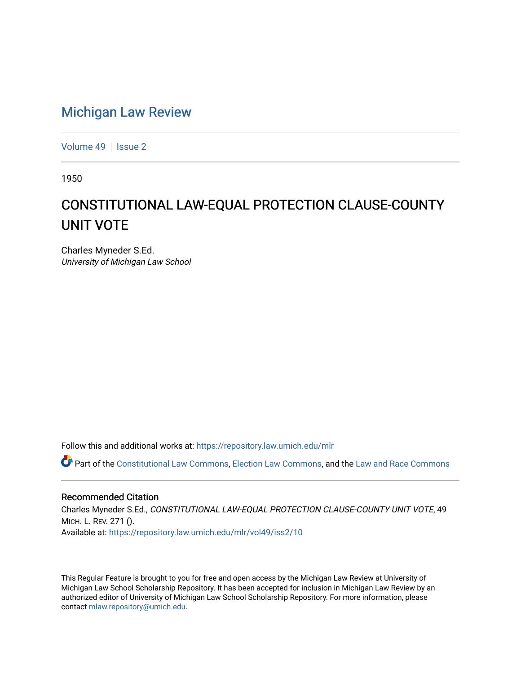## [Michigan Law Review](https://repository.law.umich.edu/mlr)

[Volume 49](https://repository.law.umich.edu/mlr/vol49) | [Issue 2](https://repository.law.umich.edu/mlr/vol49/iss2)

1950

## CONSTITUTIONAL LAW-EQUAL PROTECTION CLAUSE-COUNTY UNIT VOTE

Charles Myneder S.Ed. University of Michigan Law School

Follow this and additional works at: [https://repository.law.umich.edu/mlr](https://repository.law.umich.edu/mlr?utm_source=repository.law.umich.edu%2Fmlr%2Fvol49%2Fiss2%2F10&utm_medium=PDF&utm_campaign=PDFCoverPages) 

Part of the [Constitutional Law Commons,](http://network.bepress.com/hgg/discipline/589?utm_source=repository.law.umich.edu%2Fmlr%2Fvol49%2Fiss2%2F10&utm_medium=PDF&utm_campaign=PDFCoverPages) [Election Law Commons](http://network.bepress.com/hgg/discipline/1121?utm_source=repository.law.umich.edu%2Fmlr%2Fvol49%2Fiss2%2F10&utm_medium=PDF&utm_campaign=PDFCoverPages), and the [Law and Race Commons](http://network.bepress.com/hgg/discipline/1300?utm_source=repository.law.umich.edu%2Fmlr%2Fvol49%2Fiss2%2F10&utm_medium=PDF&utm_campaign=PDFCoverPages) 

## Recommended Citation

Charles Myneder S.Ed., CONSTITUTIONAL LAW-EQUAL PROTECTION CLAUSE-COUNTY UNIT VOTE, 49 MICH. L. REV. 271 (). Available at: [https://repository.law.umich.edu/mlr/vol49/iss2/10](https://repository.law.umich.edu/mlr/vol49/iss2/10?utm_source=repository.law.umich.edu%2Fmlr%2Fvol49%2Fiss2%2F10&utm_medium=PDF&utm_campaign=PDFCoverPages) 

This Regular Feature is brought to you for free and open access by the Michigan Law Review at University of Michigan Law School Scholarship Repository. It has been accepted for inclusion in Michigan Law Review by an authorized editor of University of Michigan Law School Scholarship Repository. For more information, please contact [mlaw.repository@umich.edu](mailto:mlaw.repository@umich.edu).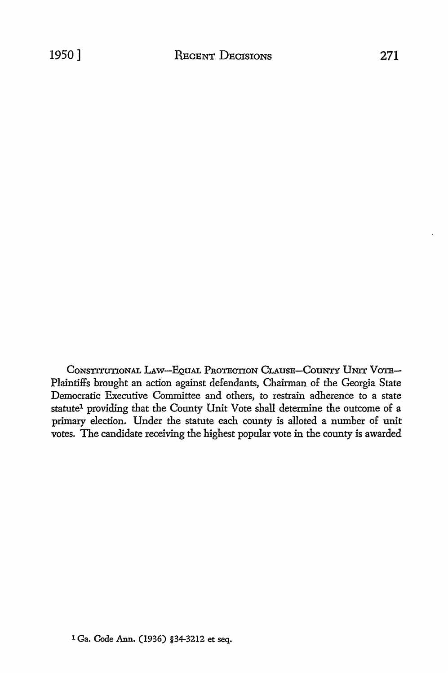CONSTITUTIONAL LAW-EQUAL PROTECTION CLAUSE-COUNTY UNIT VOTE-Plaintiffs brought an action against defendants, Chairman of the Georgia State Democratic Executive Committee and others, to restrain adherence to a state statute<sup>1</sup> providing that the County Unit Vote shall determine the outcome of a primary election. Under the statute each county is alloted a number of unit votes. The candidate receiving the highest popular vote in the county is awarded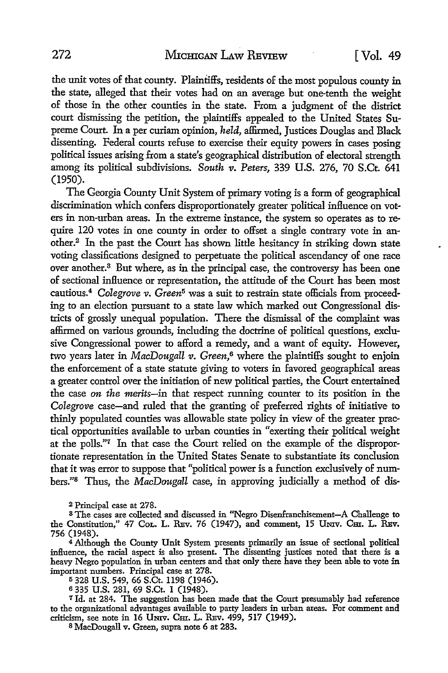the unit votes of that county. Plaintiffs, residents of the most populous county in the state, alleged that their votes had on an average but one-tenth the weight of those in the other counties in the state. From a judgment of the district court dismissing the petition, the plaintiffs appealed to the United States Supreme Court. In a per curiam opinion, *held,* affirmed, Justices Douglas and Black dissenting. Federal courts refuse to exercise their equity powers in cases posing political issues arising from a state's geographical distribution of electoral strength among its political subdivisions. *South v. Peters,* 339 U.S. 276, 70 S.Ct. 641 (1950).

The Georgia County Unit System of primary voting is a form of geographical discrimination which confers disproportionately greater political influence on voters in non-urban areas. In the extreme instance, the system so operates as to require 120 votes in one county in order to offset a single contrary vote in another.2 In the past the Court has shown little hesitancy in striking down state voting classifications designed to perpetuate the political ascendancy of one race over another.<sup>3</sup> But where, as in the principal case, the controversy has been one of sectional influence or representation, the attitude of the Court has been most cautious.<sup>4</sup>*Colegrove v. Green*5 was a suit to restrain state officials from proceeding to an election pursuant to a state law which marked out Congressional districts of grossly unequal population. There the dismissal of the complaint was affirmed on various grounds, including the doctrine of political questions, exclusive Congressional power to afford a remedy, and a want of equity. However, two years later in *MacDougall v. Green,6* where the plaintiffs sought to enjoin the enforcement of a state statute giving to voters in favored geographical areas a greater control over the initiation of new political parties, the Court entertained the case *on the merits-in* that respect running counter to its position in the *Colegrove* case-and ruled that the granting of preferred rights of initiative to thinly populated counties was allowable state policy in view of the greater practical opportunities available to urban counties in "exerting their political weight at the polls."7 In that case the Court relied on the example of the disproportionate representation in the United States Senate to substantiate its conclusion that it was error to suppose that "political power is a function exclusively of numbers.''8 Thus, the *MacDougall* case, in approving judicially a method of dis-

2 Principal case at 278.

<sup>8</sup>The cases are collected and discussed in "Negro Disenfranchisement-A Challenge to the Constitution," 47 Col. L. REv. 76 (1947), and comment, 15 UNIV. CHI. L. REV. 756 (1948).

<sup>4</sup>Although the County Unit System presents primarily an issue of sectional political influence, the racial aspect is also present. The dissenting justices noted that there is a heavy Negro population in urban centers and that only there have they been able to vote in important numbers. Principal case at 278.

5 328 U.S. 549, 66 S.Ct. 1198 (1946).

<sup>6</sup>335 U.S. 281, 69 S.Ct. 1 (1948).

<sup>7</sup>Id. at 284. The suggestion has been made that the Court presumably had reference to the organizational advantages available to party leaders in urban areas. For comment and criticism, see note in 16 Umv. Cm. L. REv. 499, 517 (1949).

8 MacDougall v. Green, supra note 6 at 283.